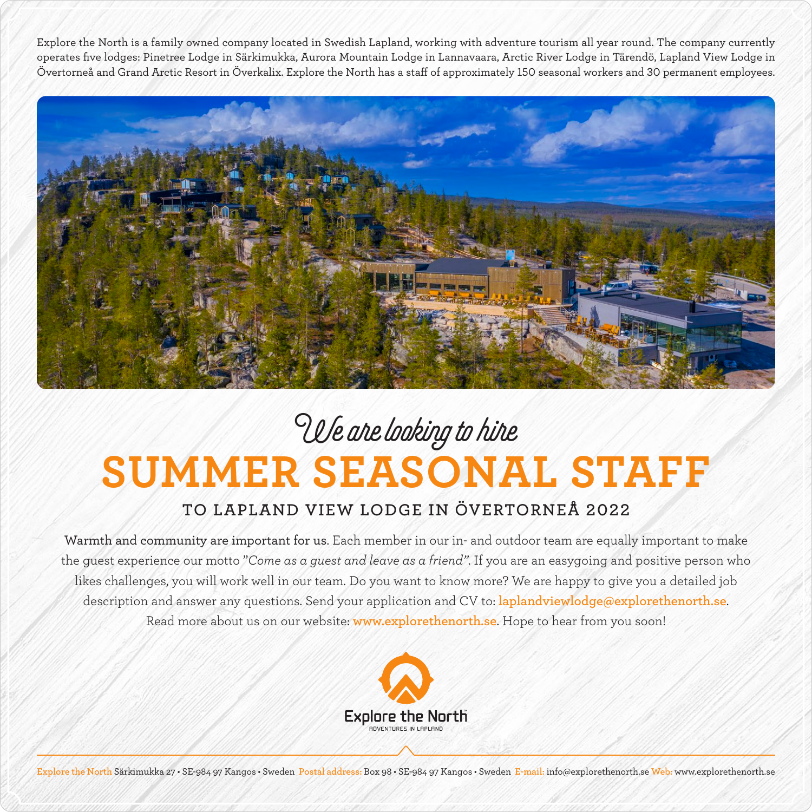Explore the North is a family owned company located in Swedish Lapland, working with adventure tourism all year round. The company currently operates five lodges: Pinetree Lodge in Särkimukka, Aurora Mountain Lodge in Lannavaara, Arctic River Lodge in Tärendö, Lapland View Lodge in Övertorneå and Grand Arctic Resort in Överkalix. Explore the North has a staff of approximately 150 seasonal workers and 30 permanent employees.



## **SUMMER SEASONAL STAFF** We are looking to hire

## **TO LAPLAND VIEW LODGE IN ÖVERTORNEÅ 2022**

Warmth and community are important for us. Each member in our in- and outdoor team are equally important to make the guest experience our motto "*Come as a guest and leave as a friend"*. If you are an easygoing and positive person who likes challenges, you will work well in our team. Do you want to know more? We are happy to give you a detailed job description and answer any questions. Send your application and CV to: **laplandviewlodge@explorethenorth.se**. Read more about us on our website: **www.explorethenorth.se**. Hope to hear from you soon!